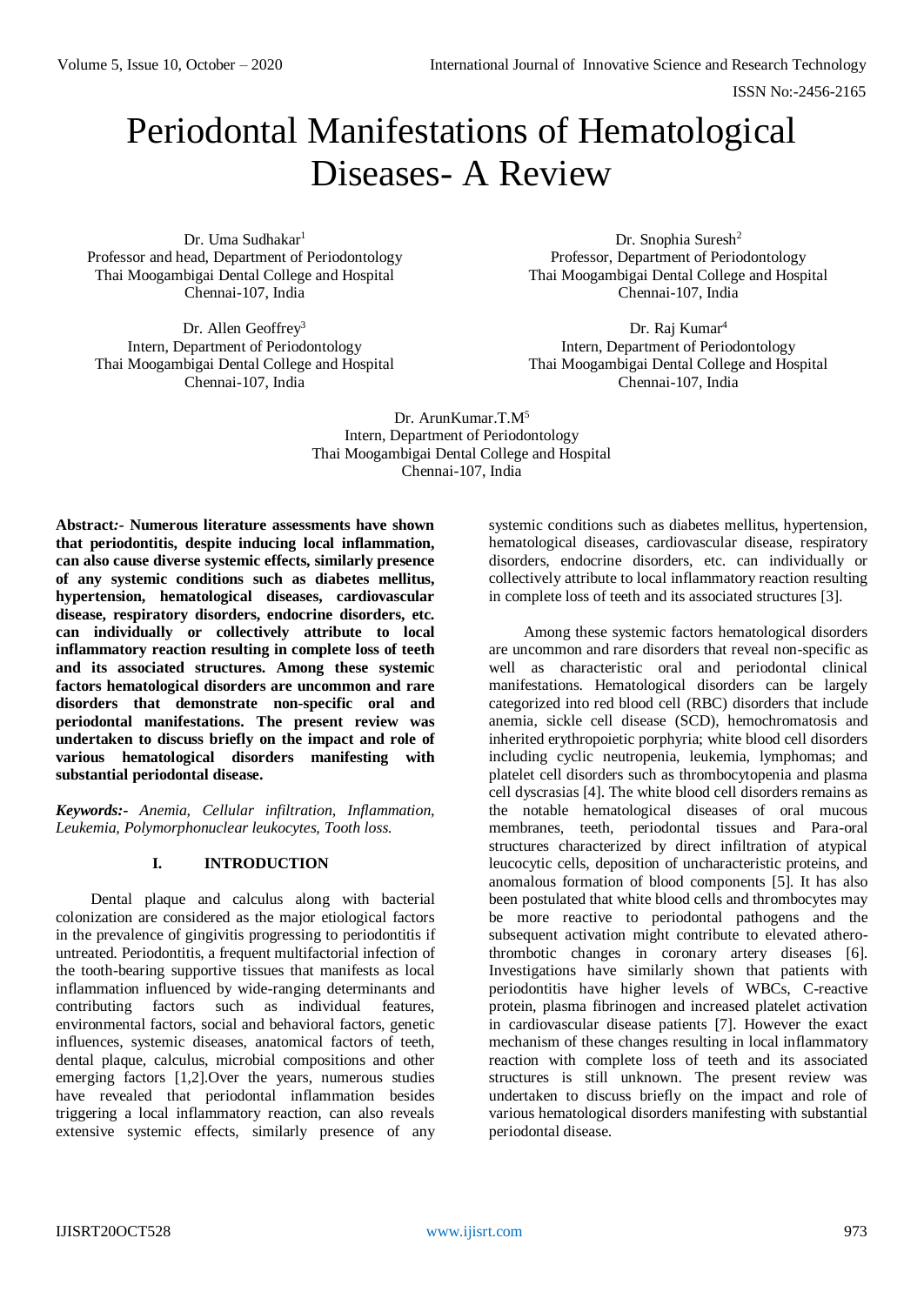# Periodontal Manifestations of Hematological Diseases- A Review

Dr. Uma Sudhakar<sup>1</sup> Professor and head, Department of Periodontology Thai Moogambigai Dental College and Hospital Chennai-107, India

Dr. Allen Geoffrey<sup>3</sup> Intern, Department of Periodontology Thai Moogambigai Dental College and Hospital Chennai-107, India

Dr. Snophia Suresh<sup>2</sup> Professor, Department of Periodontology Thai Moogambigai Dental College and Hospital Chennai-107, India

Dr. Raj Kumar<sup>4</sup> Intern, Department of Periodontology Thai Moogambigai Dental College and Hospital Chennai-107, India

Dr. ArunKumar.T.M<sup>5</sup> Intern, Department of Periodontology Thai Moogambigai Dental College and Hospital Chennai-107, India

**Abstract***:-* **Numerous literature assessments have shown that periodontitis, despite inducing local inflammation, can also cause diverse systemic effects, similarly presence of any systemic conditions such as diabetes mellitus, hypertension, hematological diseases, cardiovascular disease, respiratory disorders, endocrine disorders, etc. can individually or collectively attribute to local inflammatory reaction resulting in complete loss of teeth and its associated structures. Among these systemic factors hematological disorders are uncommon and rare disorders that demonstrate non-specific oral and periodontal manifestations. The present review was undertaken to discuss briefly on the impact and role of various hematological disorders manifesting with substantial periodontal disease.**

*Keywords:- Anemia, Cellular infiltration, Inflammation, Leukemia, Polymorphonuclear leukocytes, Tooth loss.*

# **I. INTRODUCTION**

Dental plaque and calculus along with bacterial colonization are considered as the major etiological factors in the prevalence of gingivitis progressing to periodontitis if untreated. Periodontitis, a frequent multifactorial infection of the tooth-bearing supportive tissues that manifests as local inflammation influenced by wide-ranging determinants and contributing factors such as individual features, environmental factors, social and behavioral factors, genetic influences, systemic diseases, anatomical factors of teeth, dental plaque, calculus, microbial compositions and other emerging factors [1,2].Over the years, numerous studies have revealed that periodontal inflammation besides triggering a local inflammatory reaction, can also reveals extensive systemic effects, similarly presence of any

systemic conditions such as diabetes mellitus, hypertension, hematological diseases, cardiovascular disease, respiratory disorders, endocrine disorders, etc. can individually or collectively attribute to local inflammatory reaction resulting in complete loss of teeth and its associated structures [3].

Among these systemic factors hematological disorders are uncommon and rare disorders that reveal non-specific as well as characteristic oral and periodontal clinical manifestations. Hematological disorders can be largely categorized into red blood cell (RBC) disorders that include anemia, sickle cell disease (SCD), hemochromatosis and inherited erythropoietic porphyria; white blood cell disorders including cyclic neutropenia, leukemia, lymphomas; and platelet cell disorders such as thrombocytopenia and plasma cell dyscrasias [4]. The white blood cell disorders remains as the notable hematological diseases of oral mucous membranes, teeth, periodontal tissues and Para-oral structures characterized by direct infiltration of atypical leucocytic cells, deposition of uncharacteristic proteins, and anomalous formation of blood components [5]. It has also been postulated that white blood cells and thrombocytes may be more reactive to periodontal pathogens and the subsequent activation might contribute to elevated atherothrombotic changes in coronary artery diseases [6]. Investigations have similarly shown that patients with periodontitis have higher levels of WBCs, C-reactive protein, plasma fibrinogen and increased platelet activation in cardiovascular disease patients [7]. However the exact mechanism of these changes resulting in local inflammatory reaction with complete loss of teeth and its associated structures is still unknown. The present review was undertaken to discuss briefly on the impact and role of various hematological disorders manifesting with substantial periodontal disease.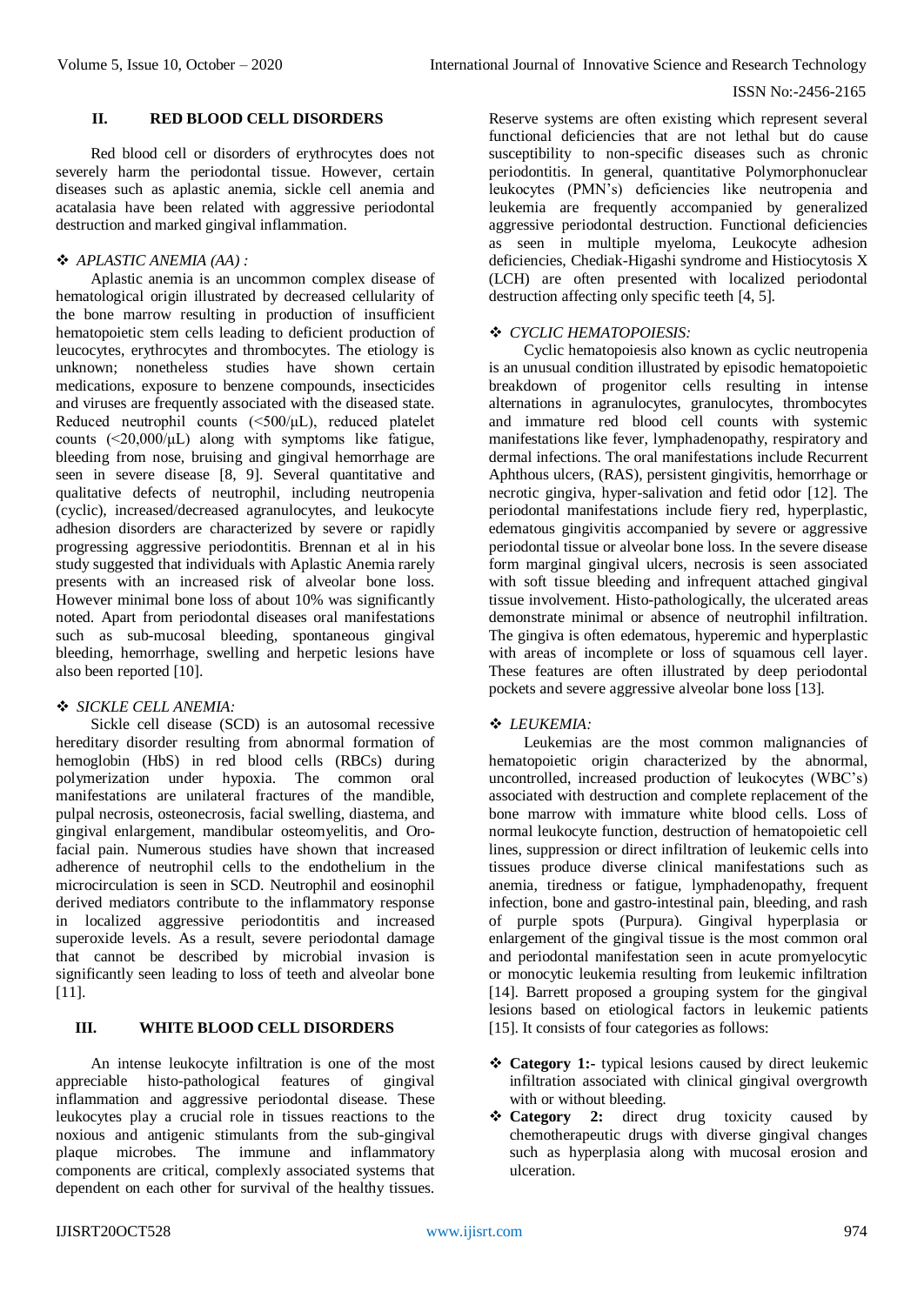# **II. RED BLOOD CELL DISORDERS**

Red blood cell or disorders of erythrocytes does not severely harm the periodontal tissue. However, certain diseases such as aplastic anemia, sickle cell anemia and acatalasia have been related with aggressive periodontal destruction and marked gingival inflammation.

# *APLASTIC ANEMIA (AA) :*

Aplastic anemia is an uncommon complex disease of hematological origin illustrated by decreased cellularity of the bone marrow resulting in production of insufficient hematopoietic stem cells leading to deficient production of leucocytes, erythrocytes and thrombocytes. The etiology is unknown; nonetheless studies have shown certain medications, exposure to benzene compounds, insecticides and viruses are frequently associated with the diseased state. Reduced neutrophil counts (<500/μL), reduced platelet counts  $(\leq 20.000/\mu L)$  along with symptoms like fatigue, bleeding from nose, bruising and gingival hemorrhage are seen in severe disease [8, 9]. Several quantitative and qualitative defects of neutrophil, including neutropenia (cyclic), increased/decreased agranulocytes, and leukocyte adhesion disorders are characterized by severe or rapidly progressing aggressive periodontitis. Brennan et al in his study suggested that individuals with Aplastic Anemia rarely presents with an increased risk of alveolar bone loss. However minimal bone loss of about 10% was significantly noted. Apart from periodontal diseases oral manifestations such as sub-mucosal bleeding, spontaneous gingival bleeding, hemorrhage, swelling and herpetic lesions have also been reported [10].

## *SICKLE CELL ANEMIA:*

Sickle cell disease (SCD) is an autosomal recessive hereditary disorder resulting from abnormal formation of hemoglobin (HbS) in red blood cells (RBCs) during polymerization under hypoxia. The common oral manifestations are unilateral fractures of the mandible, pulpal necrosis, osteonecrosis, facial swelling, diastema, and gingival enlargement, mandibular osteomyelitis, and Orofacial pain. Numerous studies have shown that increased adherence of neutrophil cells to the endothelium in the microcirculation is seen in SCD. Neutrophil and eosinophil derived mediators contribute to the inflammatory response in localized aggressive periodontitis and increased superoxide levels. As a result, severe periodontal damage that cannot be described by microbial invasion is significantly seen leading to loss of teeth and alveolar bone [11].

# **III. WHITE BLOOD CELL DISORDERS**

An intense leukocyte infiltration is one of the most appreciable histo-pathological features of gingival inflammation and aggressive periodontal disease. These leukocytes play a crucial role in tissues reactions to the noxious and antigenic stimulants from the sub-gingival plaque microbes. The immune and inflammatory components are critical, complexly associated systems that dependent on each other for survival of the healthy tissues.

Reserve systems are often existing which represent several functional deficiencies that are not lethal but do cause susceptibility to non-specific diseases such as chronic periodontitis. In general, quantitative Polymorphonuclear leukocytes (PMN's) deficiencies like neutropenia and leukemia are frequently accompanied by generalized aggressive periodontal destruction. Functional deficiencies as seen in multiple myeloma, Leukocyte adhesion deficiencies, Chediak-Higashi syndrome and Histiocytosis X (LCH) are often presented with localized periodontal destruction affecting only specific teeth [4, 5].

# *CYCLIC HEMATOPOIESIS:*

Cyclic hematopoiesis also known as cyclic neutropenia is an unusual condition illustrated by episodic hematopoietic breakdown of progenitor cells resulting in intense alternations in agranulocytes, granulocytes, thrombocytes and immature red blood cell counts with systemic manifestations like fever, lymphadenopathy, respiratory and dermal infections. The oral manifestations include Recurrent Aphthous ulcers, (RAS), persistent gingivitis, hemorrhage or necrotic gingiva, hyper-salivation and fetid odor [12]. The periodontal manifestations include fiery red, hyperplastic, edematous gingivitis accompanied by severe or aggressive periodontal tissue or alveolar bone loss. In the severe disease form marginal gingival ulcers, necrosis is seen associated with soft tissue bleeding and infrequent attached gingival tissue involvement. Histo-pathologically, the ulcerated areas demonstrate minimal or absence of neutrophil infiltration. The gingiva is often edematous, hyperemic and hyperplastic with areas of incomplete or loss of squamous cell layer. These features are often illustrated by deep periodontal pockets and severe aggressive alveolar bone loss [13].

# *LEUKEMIA:*

Leukemias are the most common malignancies of hematopoietic origin characterized by the abnormal, uncontrolled, increased production of leukocytes (WBC's) associated with destruction and complete replacement of the bone marrow with immature white blood cells. Loss of normal leukocyte function, destruction of hematopoietic cell lines, suppression or direct infiltration of leukemic cells into tissues produce diverse clinical manifestations such as anemia, tiredness or fatigue, lymphadenopathy, frequent infection, bone and gastro-intestinal pain, bleeding, and rash of purple spots (Purpura). Gingival hyperplasia or enlargement of the gingival tissue is the most common oral and periodontal manifestation seen in acute promyelocytic or monocytic leukemia resulting from leukemic infiltration [14]. Barrett proposed a grouping system for the gingival lesions based on etiological factors in leukemic patients [15]. It consists of four categories as follows:

- **Category 1:-** typical lesions caused by direct leukemic infiltration associated with clinical gingival overgrowth with or without bleeding.
- **Category 2:** direct drug toxicity caused by chemotherapeutic drugs with diverse gingival changes such as hyperplasia along with mucosal erosion and ulceration.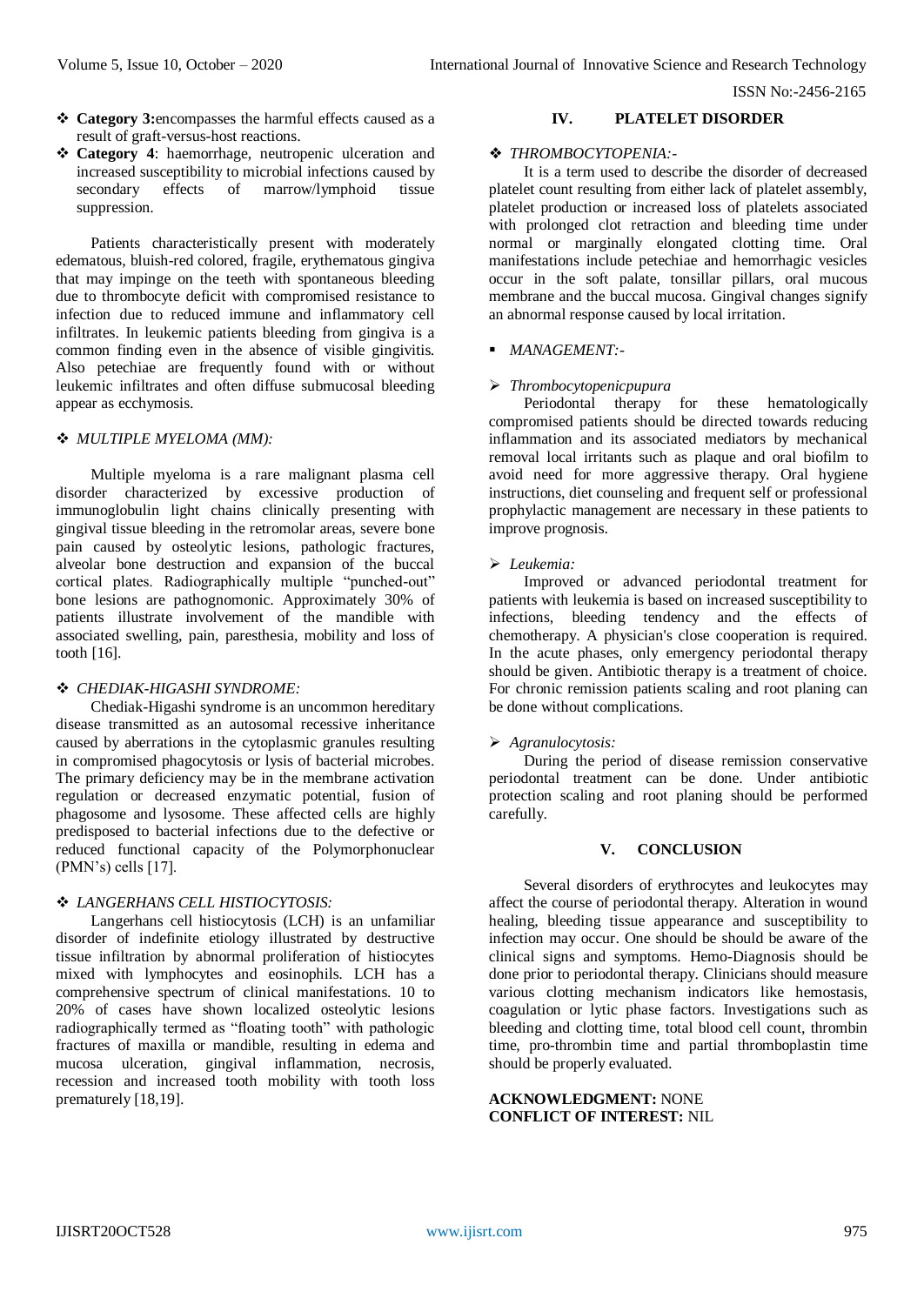- **Category 3:**encompasses the harmful effects caused as a result of graft-versus-host reactions.
- **Category 4**: haemorrhage, neutropenic ulceration and increased susceptibility to microbial infections caused by secondary effects of marrow/lymphoid tissue suppression.

Patients characteristically present with moderately edematous, bluish-red colored, fragile, erythematous gingiva that may impinge on the teeth with spontaneous bleeding due to thrombocyte deficit with compromised resistance to infection due to reduced immune and inflammatory cell infiltrates. In leukemic patients bleeding from gingiva is a common finding even in the absence of visible gingivitis. Also petechiae are frequently found with or without leukemic infiltrates and often diffuse submucosal bleeding appear as ecchymosis.

#### *MULTIPLE MYELOMA (MM):*

Multiple myeloma is a rare malignant plasma cell disorder characterized by excessive production of immunoglobulin light chains clinically presenting with gingival tissue bleeding in the retromolar areas, severe bone pain caused by osteolytic lesions, pathologic fractures, alveolar bone destruction and expansion of the buccal cortical plates. Radiographically multiple "punched-out" bone lesions are pathognomonic. Approximately 30% of patients illustrate involvement of the mandible with associated swelling, pain, paresthesia, mobility and loss of tooth [16].

## *CHEDIAK-HIGASHI SYNDROME:*

Chediak-Higashi syndrome is an uncommon hereditary disease transmitted as an autosomal recessive inheritance caused by aberrations in the cytoplasmic granules resulting in compromised phagocytosis or lysis of bacterial microbes. The primary deficiency may be in the membrane activation regulation or decreased enzymatic potential, fusion of phagosome and lysosome. These affected cells are highly predisposed to bacterial infections due to the defective or reduced functional capacity of the Polymorphonuclear (PMN's) cells [17].

## *LANGERHANS CELL HISTIOCYTOSIS:*

Langerhans cell histiocytosis (LCH) is an unfamiliar disorder of indefinite etiology illustrated by destructive tissue infiltration by abnormal proliferation of histiocytes mixed with lymphocytes and eosinophils. LCH has a comprehensive spectrum of clinical manifestations. 10 to 20% of cases have shown localized osteolytic lesions radiographically termed as "floating tooth" with pathologic fractures of maxilla or mandible, resulting in edema and mucosa ulceration, gingival inflammation, necrosis, recession and increased tooth mobility with tooth loss prematurely [18,19].

### **IV. PLATELET DISORDER**

#### ❖ *THROMBOCYTOPENIA:-*

It is a term used to describe the disorder of decreased platelet count resulting from either lack of platelet assembly, platelet production or increased loss of platelets associated with prolonged clot retraction and bleeding time under normal or marginally elongated clotting time. Oral manifestations include petechiae and hemorrhagic vesicles occur in the soft palate, tonsillar pillars, oral mucous membrane and the buccal mucosa. Gingival changes signify an abnormal response caused by local irritation.

## *MANAGEMENT:-*

#### *Thrombocytopenicpupura*

Periodontal therapy for these hematologically compromised patients should be directed towards reducing inflammation and its associated mediators by mechanical removal local irritants such as plaque and oral biofilm to avoid need for more aggressive therapy. Oral hygiene instructions, diet counseling and frequent self or professional prophylactic management are necessary in these patients to improve prognosis.

## *Leukemia:*

Improved or advanced periodontal treatment for patients with leukemia is based on increased susceptibility to infections, bleeding tendency and the effects of chemotherapy. A physician's close cooperation is required. In the acute phases, only emergency periodontal therapy should be given. Antibiotic therapy is a treatment of choice. For chronic remission patients scaling and root planing can be done without complications.

## *Agranulocytosis:*

During the period of disease remission conservative periodontal treatment can be done. Under antibiotic protection scaling and root planing should be performed carefully.

#### **V. CONCLUSION**

Several disorders of erythrocytes and leukocytes may affect the course of periodontal therapy. Alteration in wound healing, bleeding tissue appearance and susceptibility to infection may occur. One should be should be aware of the clinical signs and symptoms. Hemo-Diagnosis should be done prior to periodontal therapy. Clinicians should measure various clotting mechanism indicators like hemostasis, coagulation or lytic phase factors. Investigations such as bleeding and clotting time, total blood cell count, thrombin time, pro-thrombin time and partial thromboplastin time should be properly evaluated.

# **ACKNOWLEDGMENT:** NONE **CONFLICT OF INTEREST:** NIL